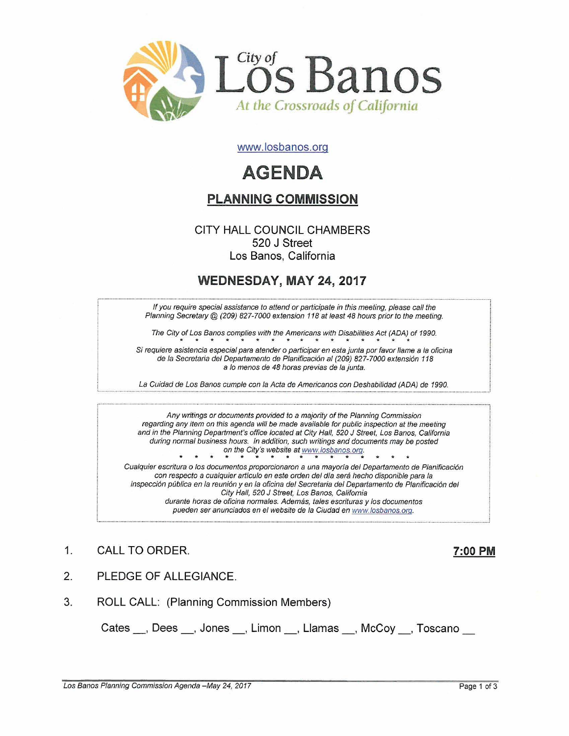

www.losbanos.org

# **AGENDA**

## PLANNING COMMISSION

CITY HALL COUNCIL CHAMBERS 520 J Street Los Banos, California

# WEDNESDAY, MAY 24, 2017

If you require special assistance to attend or participate in this meeting, please call the Planning Secretary @ (209) 827-7000 extension 118 at least 48 hours prior to the meeting.

The City of Los Banos complies with the Americans with Disabilities Act (ADA) of 1990. The City of Los Banos complies with the Americans with Disabilities Act (ADA) of 1990.<br>Si requiere asistencia especial para atender o participar en esta junta por favor llame a la oficina

de /a Secretaria del Departamento de Planificaci6n 81 (209) *827-7000* extensi6n *118* a fo menos de 48 horas previas de la junta.

La Cuidad de Los Banos cumple con la Acta de Americanos con Deshabilidad (ADA) de 1990.

Any writings or documents provided to a majority of the Planning Commission regarding any item on this agenda will be made available for public inspection at the meeting and in the Planning Department's office located at City Hall, 520 J Street, Los Banos, California during normal business hours. In addition, such writings and documents may be posted<br>on the City's website at www.losbanos.org.

Cualquier escritura o los documentos proporcionaron a una mayoría del Departamento de Planificación con respecto a cualquier artículo en este orden del día será hecho disponible para la inspecci6n publica en la reuni6n y en /a oficina del Secretaria del Departamento de Planificaci6n del City Hall, 520 J Street, Los Banos, California durante horas de oficina normales. Además, tales escrituras y los documentos pueden ser anunciados en ef website de la Ciudad en www.losbanos.ora,

- 1. CALL TO ORDER. 200 PM
- 2. PLEDGE OF ALLEGIANCE.
- 3. ROLL CALL: (Planning Commission Members)

Cates \_\_, Dees \_\_, Jones \_\_, Limon \_\_, Llamas \_\_, McCoy \_\_, Toscano \_\_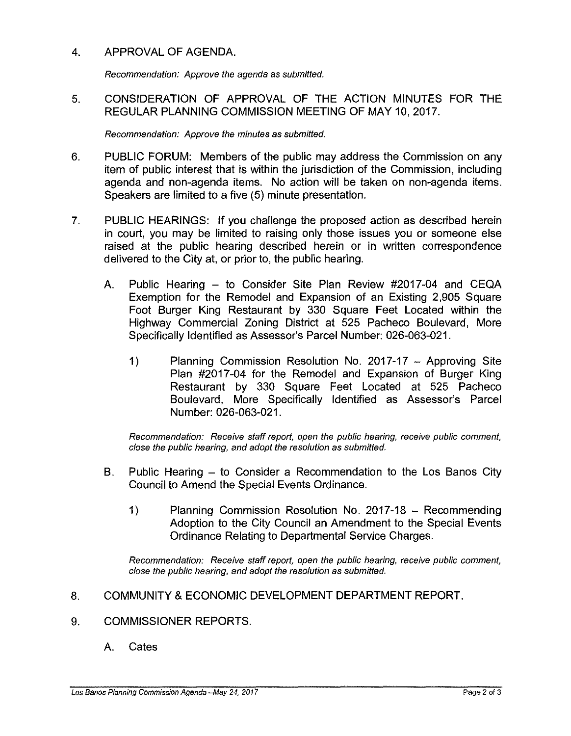#### 4. APPROVAL OF AGENDA.

Recommendation: Approve the agenda as submitted.

### 5. CONSIDERATION OF APPROVAL OF THE ACTION MINUTES FOR THE REGULAR PLANNING COMMISSION MEETING OF MAY 10, 2017.

Recommendation: Approve the minutes as submitted.

- 6. PUBLIC FORUM: Members of the public may address the Commission on any item of public interest that is within the jurisdiction of the Commission, including agenda and non-agenda items. No action will be taken on non-agenda items. Speakers are limited to a five (5) minute presentation.
- 7. PUBLIC HEARINGS: If you challenge the proposed action as described herein in court, you may be limited to raising only those issues you or someone else raised at the public hearing described herein or in written correspondence delivered to the City at, or prior to, the public hearing.
	- A. Public Hearing to Consider Site Plan Review #2017-04 and CEQA Exemption for the Remodel and Expansion of an Existing 2,905 Square Foot Burger King Restaurant by 330 Square Feet Located within the Highway Commercial Zoning District at 525 Pacheco Boulevard, More Specifically Identified as Assessor's Parcel Number: 026-063-021.
		- 1) Planning Commission Resolution No. 2017-17 Approving Site Plan #2017-04 for the Remodel and Expansion of Burger King Restaurant by 330 Square Feet Located at 525 Pacheco Boulevard, More Specifically Identified as Assessor's Parcel Number: 026-063-021.

Recommendation: Receive staff report, open the public hearing, receive public comment, close the public hearing, and adopt the resolution as submitted.

- B. Public Hearing to Consider a Recommendation to the Los Banos City Council to Amend the Special Events Ordinance.
	- 1) Planning Commission Resolution No. 2017-18 Recommending Adoption to the City Council an Amendment to the Special Events Ordinance Relating to Departmental Service Charges.

Recommendation: Receive staff report, open the public hearing, receive public comment, close the public hearing, and adopt the resolution as submitted.

#### 8. COMMUNITY & ECONOMIC DEVELOPMENT DEPARTMENT REPORT.

- 9. COMMISSIONER REPORTS.
	- A. Cates